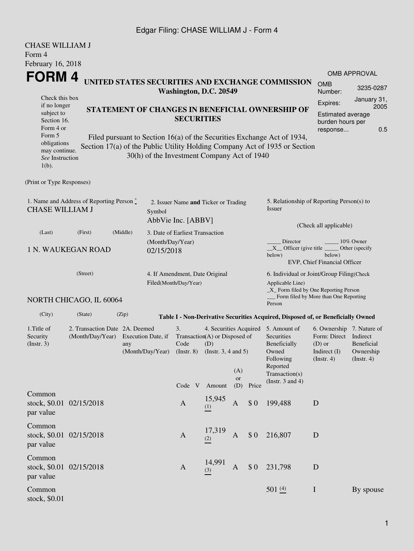## Edgar Filing: CHASE WILLIAM J - Form 4

| <b>CHASE WILLIAM J</b><br>Form 4                                                                                                                                                                              |                                                                                         |                                             |  |                                                                                                |                                             |                                                                                                                                                            |                                                                                                                                                                    |                                                                                                                                                                                                                                                              |                                                                                                                         |                                                                                                        |                           |
|---------------------------------------------------------------------------------------------------------------------------------------------------------------------------------------------------------------|-----------------------------------------------------------------------------------------|---------------------------------------------|--|------------------------------------------------------------------------------------------------|---------------------------------------------|------------------------------------------------------------------------------------------------------------------------------------------------------------|--------------------------------------------------------------------------------------------------------------------------------------------------------------------|--------------------------------------------------------------------------------------------------------------------------------------------------------------------------------------------------------------------------------------------------------------|-------------------------------------------------------------------------------------------------------------------------|--------------------------------------------------------------------------------------------------------|---------------------------|
| February 16, 2018<br>FORM 4<br>Check this box<br>if no longer<br>subject to<br>Section 16.<br>Form 4 or<br>Form 5<br>obligations<br>may continue.<br>See Instruction<br>$1(b)$ .<br>(Print or Type Responses) |                                                                                         | 30(h) of the Investment Company Act of 1940 |  |                                                                                                | Washington, D.C. 20549<br><b>SECURITIES</b> |                                                                                                                                                            |                                                                                                                                                                    | UNITED STATES SECURITIES AND EXCHANGE COMMISSION<br>STATEMENT OF CHANGES IN BENEFICIAL OWNERSHIP OF<br>Filed pursuant to Section 16(a) of the Securities Exchange Act of 1934,<br>Section 17(a) of the Public Utility Holding Company Act of 1935 or Section | <b>OMB</b><br>Number:<br>Expires:<br><b>Estimated average</b><br>burden hours per<br>response                           | OMB APPROVAL<br>3235-0287<br>January 31,<br>2005<br>0.5                                                |                           |
| 1. Name and Address of Reporting Person *<br><b>CHASE WILLIAM J</b>                                                                                                                                           | Symbol                                                                                  |                                             |  | 2. Issuer Name and Ticker or Trading                                                           |                                             |                                                                                                                                                            | 5. Relationship of Reporting Person(s) to<br>Issuer                                                                                                                |                                                                                                                                                                                                                                                              |                                                                                                                         |                                                                                                        |                           |
| (Last)<br><b>1 N. WAUKEGAN ROAD</b>                                                                                                                                                                           | AbbVie Inc. [ABBV]<br>3. Date of Earliest Transaction<br>(Month/Day/Year)<br>02/15/2018 |                                             |  |                                                                                                |                                             |                                                                                                                                                            | (Check all applicable)<br>10% Owner<br>Director<br>$X$ Officer (give title $\frac{1}{1 + 2}$<br>Other (specify<br>below)<br>below)<br>EVP, Chief Financial Officer |                                                                                                                                                                                                                                                              |                                                                                                                         |                                                                                                        |                           |
| NORTH CHICAGO, IL 60064                                                                                                                                                                                       | 4. If Amendment, Date Original<br>Filed(Month/Day/Year)                                 |                                             |  |                                                                                                |                                             | 6. Individual or Joint/Group Filing(Check<br>Applicable Line)<br>_X_ Form filed by One Reporting Person<br>Form filed by More than One Reporting<br>Person |                                                                                                                                                                    |                                                                                                                                                                                                                                                              |                                                                                                                         |                                                                                                        |                           |
| (City)                                                                                                                                                                                                        | (State)                                                                                 | (Zip)                                       |  |                                                                                                |                                             |                                                                                                                                                            |                                                                                                                                                                    |                                                                                                                                                                                                                                                              | Table I - Non-Derivative Securities Acquired, Disposed of, or Beneficially Owned                                        |                                                                                                        |                           |
| 1. Title of<br>Security<br>(Insert. 3)                                                                                                                                                                        | 2. Transaction Date 2A. Deemed<br>(Month/Day/Year) Execution Date, if<br>any            |                                             |  | 3.<br>Transaction(A) or Disposed of<br>Code<br>(Month/Day/Year) (Instr. 8) (Instr. 3, 4 and 5) |                                             |                                                                                                                                                            | (A)<br>or                                                                                                                                                          | 4. Securities Acquired                                                                                                                                                                                                                                       | 5. Amount of<br>Securities<br>Beneficially<br>Owned<br>Following<br>Reported<br>Transaction(s)<br>(Instr. $3$ and $4$ ) | 6. Ownership 7. Nature of<br>Form: Direct Indirect<br>$(D)$ or<br>Indirect (I) Ownership<br>(Instr. 4) | Beneficial<br>(Insert. 4) |
| Common<br>stock, \$0.01 02/15/2018<br>par value                                                                                                                                                               |                                                                                         |                                             |  | $\mathbf{A}$                                                                                   |                                             | Code V Amount<br>15,945<br>(1)                                                                                                                             | (D)<br>$\mathbf{A}$                                                                                                                                                | Price<br>\$0                                                                                                                                                                                                                                                 | 199,488                                                                                                                 | D                                                                                                      |                           |
| Common<br>stock, \$0.01 02/15/2018<br>par value                                                                                                                                                               |                                                                                         |                                             |  | $\mathbf{A}$                                                                                   |                                             | 17,319<br>(2)                                                                                                                                              | $\mathbf{A}$                                                                                                                                                       | \$0\$                                                                                                                                                                                                                                                        | 216,807                                                                                                                 | D                                                                                                      |                           |
| Common<br>stock, \$0.01 02/15/2018<br>par value                                                                                                                                                               |                                                                                         |                                             |  | A                                                                                              |                                             | 14,991<br>(3)                                                                                                                                              | A                                                                                                                                                                  | \$0\$                                                                                                                                                                                                                                                        | 231,798                                                                                                                 | D                                                                                                      |                           |
| Common<br>stock, \$0.01                                                                                                                                                                                       |                                                                                         |                                             |  |                                                                                                |                                             |                                                                                                                                                            |                                                                                                                                                                    |                                                                                                                                                                                                                                                              | 501 $(4)$                                                                                                               | $\mathbf I$                                                                                            | By spouse                 |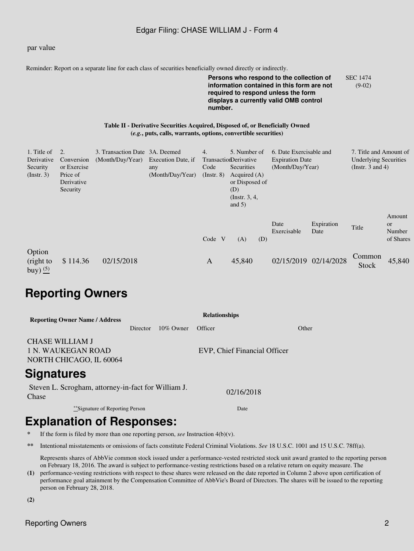### Edgar Filing: CHASE WILLIAM J - Form 4

#### par value

Reminder: Report on a separate line for each class of securities beneficially owned directly or indirectly.

**Persons who respond to the collection of information contained in this form are not required to respond unless the form displays a currently valid OMB control number.** SEC 1474 (9-02)

#### **Table II - Derivative Securities Acquired, Disposed of, or Beneficially Owned (***e.g.***, puts, calls, warrants, options, convertible securities)**

| 1. Title of                                 | 2.          | 3. Transaction Date 3A. Deemed |                    | 4.              | 5. Number of          |     | 6. Date Exercisable and |                    | 7. Title and Amount of       |                        |
|---------------------------------------------|-------------|--------------------------------|--------------------|-----------------|-----------------------|-----|-------------------------|--------------------|------------------------------|------------------------|
| Derivative                                  | Conversion  | (Month/Day/Year)               | Execution Date, if |                 | TransactionDerivative |     | <b>Expiration Date</b>  |                    | <b>Underlying Securities</b> |                        |
| Security                                    | or Exercise |                                | any                | Code            | Securities            |     | (Month/Day/Year)        |                    | (Instr. $3$ and $4$ )        |                        |
| (Insert. 3)                                 | Price of    |                                | (Month/Day/Year)   | $($ Instr. $8)$ | Acquired $(A)$        |     |                         |                    |                              |                        |
|                                             | Derivative  |                                |                    |                 | or Disposed of        |     |                         |                    |                              |                        |
|                                             | Security    |                                |                    |                 | (D)                   |     |                         |                    |                              |                        |
|                                             |             |                                |                    |                 | (Instr. $3, 4,$       |     |                         |                    |                              |                        |
|                                             |             |                                |                    |                 | and $5)$              |     |                         |                    |                              |                        |
|                                             |             |                                |                    |                 |                       |     | Date<br>Exercisable     | Expiration<br>Date | Title                        | Amount<br>or<br>Number |
|                                             |             |                                |                    | Code V          | (A)                   | (D) |                         |                    |                              | of Shares              |
|                                             |             |                                |                    |                 |                       |     |                         |                    |                              |                        |
| Option<br>(right to<br>buy) $\frac{(5)}{2}$ | \$114.36    | 02/15/2018                     |                    | A               | 45,840                |     | 02/15/2019              | 02/14/2028         | Common<br><b>Stock</b>       | 45,840                 |

## **Reporting Owners**

| <b>Reporting Owner Name / Address</b>                                   | <b>Relationships</b> |              |                              |       |  |  |  |  |  |  |
|-------------------------------------------------------------------------|----------------------|--------------|------------------------------|-------|--|--|--|--|--|--|
|                                                                         | Director             | $10\%$ Owner | Officer                      | Other |  |  |  |  |  |  |
| <b>CHASE WILLIAM J</b><br>1 N. WAUKEGAN ROAD<br>NORTH CHICAGO, IL 60064 |                      |              | EVP, Chief Financial Officer |       |  |  |  |  |  |  |
| <b>Signatures</b>                                                       |                      |              |                              |       |  |  |  |  |  |  |
| Steven L. Scrogham, attorney-in-fact for William J.<br>Chase            |                      |              | 02/16/2018                   |       |  |  |  |  |  |  |
| **Signature of Reporting Person                                         | Date                 |              |                              |       |  |  |  |  |  |  |

# **Explanation of Responses:**

If the form is filed by more than one reporting person, *see* Instruction  $4(b)(v)$ .

**\*\*** Intentional misstatements or omissions of facts constitute Federal Criminal Violations. *See* 18 U.S.C. 1001 and 15 U.S.C. 78ff(a).

Represents shares of AbbVie common stock issued under a performance-vested restricted stock unit award granted to the reporting person on February 18, 2016. The award is subject to performance-vesting restrictions based on a relative return on equity measure. The

**(1)** performance-vesting restrictions with respect to these shares were released on the date reported in Column 2 above upon certification of performance goal attainment by the Compensation Committee of AbbVie's Board of Directors. The shares will be issued to the reporting person on February 28, 2018.

**(2)**